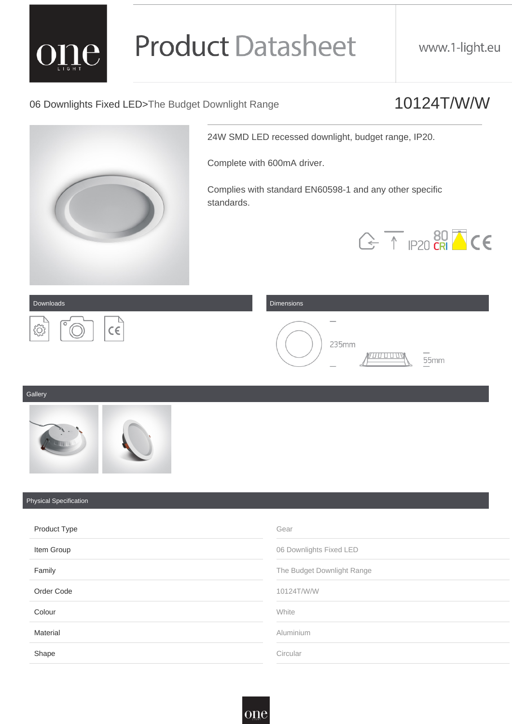06 Downlights Fixed LED>The Budget Downlight Range 10124T/W/W

24W SMD LED recessed downlight, budget range, IP20.

Complete with 600mA driver.

Complies with standard EN60598-1 and any other specific standards.

#### Downloads **Dimensions Dimensions**

#### **Gallery**

#### Physical Specification

Product Type Gear

| Item Group      | 06 Downlights Fixed LED    |
|-----------------|----------------------------|
| Family          | The Budget Downlight Range |
| Order Code      | 10124T/W/W                 |
| Colour          | White                      |
| <b>Material</b> | Aluminium                  |
| Shape           | Circular                   |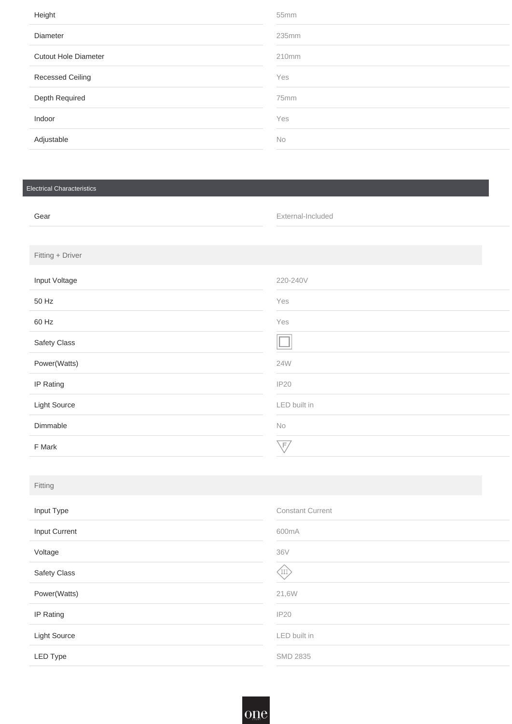| Height                      | 55mm      |
|-----------------------------|-----------|
| <b>Diameter</b>             | 235mm     |
| <b>Cutout Hole Diameter</b> | 210mm     |
| <b>Recessed Ceiling</b>     | Yes       |
| Depth Required              | 75mm      |
| Indoor                      | Yes       |
| Adjustable                  | <b>No</b> |
|                             |           |

## Electrical Characteristics Gear External-Included

Fitting + Driver

Input Voltage

| Fitting              |                         |
|----------------------|-------------------------|
| Input Type           | <b>Constant Current</b> |
| <b>Input Current</b> | 600mA                   |

50 Hz Yes

60 Hz September 2014 and 2015 and 2016 and 2016 and 2016 and 2016 and 2016 and 2017 and 2017 and 201

Safety Class

Power(Watts)

IP Rating

Light Source

Dimmable

F Mark

| 220-240V     |  |
|--------------|--|
| Yes          |  |
| Yes          |  |
|              |  |
| <b>24W</b>   |  |
| <b>IP20</b>  |  |
| LED built in |  |
| No           |  |
| $\sqrt{F}$   |  |

| Voltage             | 36V                 |
|---------------------|---------------------|
| <b>Safety Class</b> | $\left( 111\right)$ |
| Power(Watts)        | 21,6W               |
| <b>IP Rating</b>    | <b>IP20</b>         |
| <b>Light Source</b> | LED built in        |
| <b>LED Type</b>     | <b>SMD 2835</b>     |

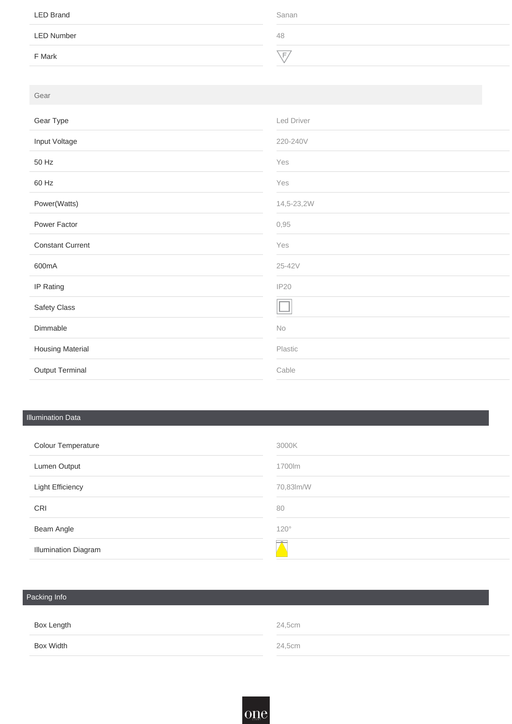| <b>LED Brand</b>  | Sanan  |
|-------------------|--------|
| <b>LED Number</b> | 48     |
| F Mark            | $\Box$ |

#### Gear

| Gear Type               | Led Driver  |
|-------------------------|-------------|
| Input Voltage           | 220-240V    |
| 50 Hz                   | Yes         |
| 60 Hz                   | Yes         |
| Power(Watts)            | 14,5-23,2W  |
| Power Factor            | 0,95        |
| <b>Constant Current</b> | Yes         |
| 600mA                   | 25-42V      |
| <b>IP Rating</b>        | <b>IP20</b> |
| <b>Safety Class</b>     |             |
| Dimmable                | No          |
| <b>Housing Material</b> | Plastic     |
| <b>Output Terminal</b>  | Cable       |

#### Illumination Data

| <b>Colour Temperature</b>   | 3000K       |
|-----------------------------|-------------|
| <b>Lumen Output</b>         | 1700lm      |
| <b>Light Efficiency</b>     | 70,83lm/W   |
| <b>CRI</b>                  | 80          |
| <b>Beam Angle</b>           | $120^\circ$ |
| <b>Illumination Diagram</b> |             |

### Packing Info

| <b>Box Length</b> | 24,5cm |
|-------------------|--------|
| <b>Box Width</b>  | 24,5cm |